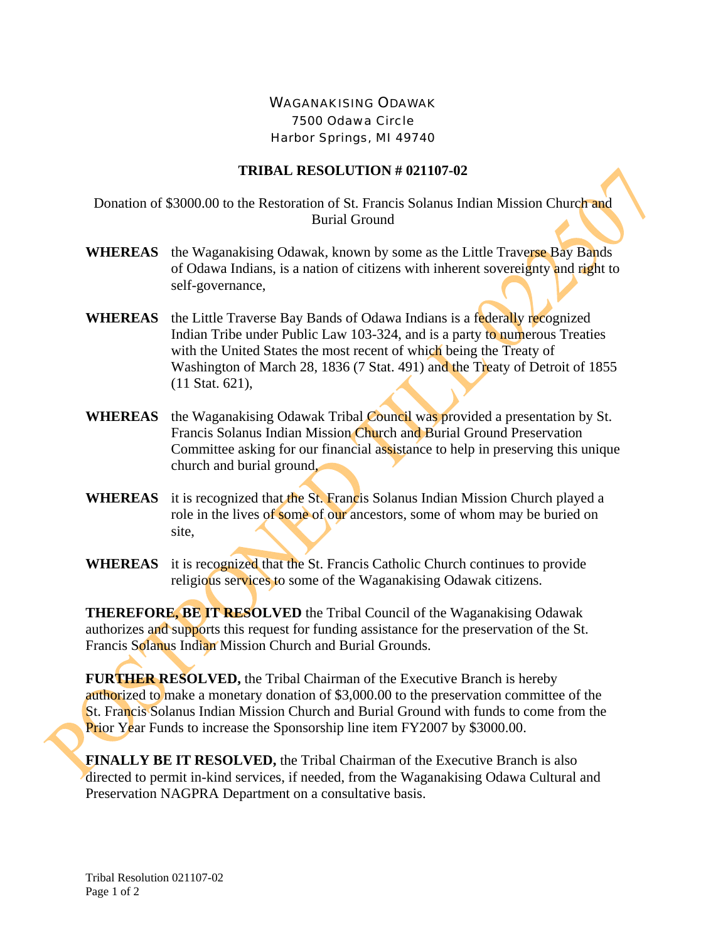## WAGANAKISING ODAWAK 7500 Odawa Circle Harbor Springs, MI 49740

## **TRIBAL RESOLUTION # 021107-02**

Donation of \$3000.00 to the Restoration of St. Francis Solanus Indian Mission Church and Burial Ground

- **WHEREAS** the Waganakising Odawak, known by some as the Little Traverse Bay Bands of Odawa Indians, is a nation of citizens with inherent sovereignty and right to self-governance,
- **WHEREAS** the Little Traverse Bay Bands of Odawa Indians is a federally recognized Indian Tribe under Public Law 103-324, and is a party to numerous Treaties with the United States the most recent of which being the Treaty of Washington of March 28, 1836 (7 Stat. 491) and the Treaty of Detroit of 1855 (11 Stat. 621),
- **WHEREAS** the Waganakising Odawak Tribal Council was provided a presentation by St. Francis Solanus Indian Mission Church and Burial Ground Preservation Committee asking for our financial assistance to help in preserving this unique church and burial ground,
- **WHEREAS** it is recognized that the St. Francis Solanus Indian Mission Church played a role in the lives of some of our ancestors, some of whom may be buried on site,
- **WHEREAS** it is recognized that the St. Francis Catholic Church continues to provide religious services to some of the Waganakising Odawak citizens.

**THEREFORE, BE IT RESOLVED** the Tribal Council of the Waganakising Odawak authorizes and supports this request for funding assistance for the preservation of the St. Francis Solanus Indian Mission Church and Burial Grounds.

**FURTHER RESOLVED,** the Tribal Chairman of the Executive Branch is hereby authorized to make a monetary donation of \$3,000.00 to the preservation committee of the St. Francis Solanus Indian Mission Church and Burial Ground with funds to come from the Prior Year Funds to increase the Sponsorship line item FY2007 by \$3000.00.

**FINALLY BE IT RESOLVED,** the Tribal Chairman of the Executive Branch is also directed to permit in-kind services, if needed, from the Waganakising Odawa Cultural and Preservation NAGPRA Department on a consultative basis.